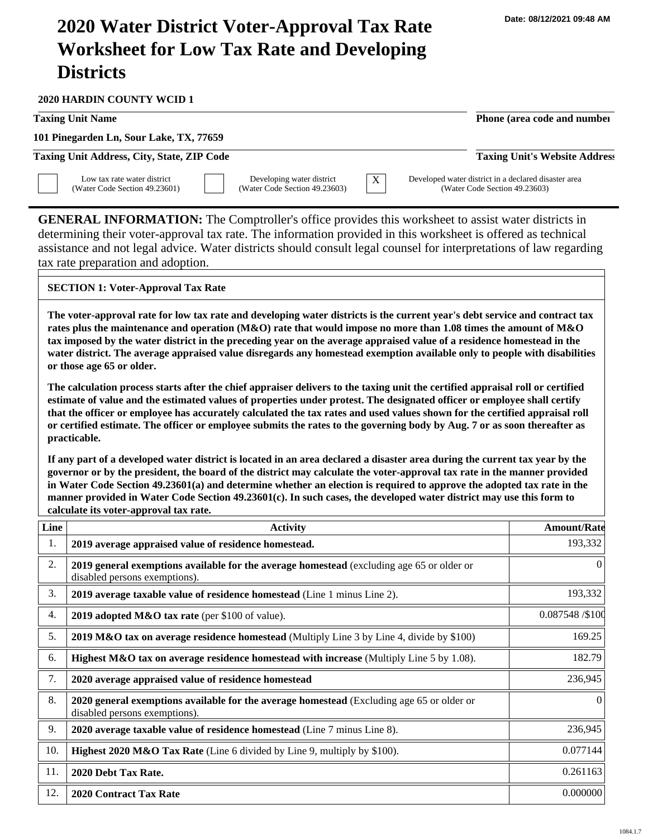## **2020 Water District Voter-Approval Tax Rate Worksheet for Low Tax Rate and Developing Districts**

**2020 HARDIN COUNTY WCID 1**

**Taxing Unit Name Phone (area code and number Phone (area code and number** 

**101 Pinegarden Ln, Sour Lake, TX, 77659**

**Taxing Unit Address, City, State, ZIP Code Taxing Unit's Website Address**

Low tax rate water district (Water Code Section 49.23601)

Developing water district (Water Code Section 49.23603)

 $\overline{X}$  Developed water district in a declared disaster area (Water Code Section 49.23603)

**GENERAL INFORMATION:** The Comptroller's office provides this worksheet to assist water districts in determining their voter-approval tax rate. The information provided in this worksheet is offered as technical assistance and not legal advice. Water districts should consult legal counsel for interpretations of law regarding tax rate preparation and adoption.

## **SECTION 1: Voter-Approval Tax Rate**

**The voter-approval rate for low tax rate and developing water districts is the current year's debt service and contract tax rates plus the maintenance and operation (M&O) rate that would impose no more than 1.08 times the amount of M&O tax imposed by the water district in the preceding year on the average appraised value of a residence homestead in the water district. The average appraised value disregards any homestead exemption available only to people with disabilities or those age 65 or older.**

**The calculation process starts after the chief appraiser delivers to the taxing unit the certified appraisal roll or certified estimate of value and the estimated values of properties under protest. The designated officer or employee shall certify that the officer or employee has accurately calculated the tax rates and used values shown for the certified appraisal roll or certified estimate. The officer or employee submits the rates to the governing body by Aug. 7 or as soon thereafter as practicable.**

**If any part of a developed water district is located in an area declared a disaster area during the current tax year by the governor or by the president, the board of the district may calculate the voter-approval tax rate in the manner provided in Water Code Section 49.23601(a) and determine whether an election is required to approve the adopted tax rate in the manner provided in Water Code Section 49.23601(c). In such cases, the developed water district may use this form to calculate its voter-approval tax rate.**

| Line | <b>Activity</b>                                                                                                            | <b>Amount/Rate</b> |
|------|----------------------------------------------------------------------------------------------------------------------------|--------------------|
| 1.   | 2019 average appraised value of residence homestead.                                                                       | 193,332            |
| 2.   | 2019 general exemptions available for the average homestead (excluding age 65 or older or<br>disabled persons exemptions). | $\theta$           |
| 3.   | 2019 average taxable value of residence homestead (Line 1 minus Line 2).                                                   | 193,332            |
| 4.   | <b>2019 adopted M&amp;O tax rate</b> (per \$100 of value).                                                                 | 0.087548 /\$100    |
| 5.   | 2019 M&O tax on average residence homestead (Multiply Line 3 by Line 4, divide by \$100)                                   | 169.25             |
| 6.   | <b>Highest M&amp;O tax on average residence homestead with increase</b> (Multiply Line 5 by 1.08).                         | 182.79             |
| 7.   | 2020 average appraised value of residence homestead                                                                        | 236,945            |
| 8.   | 2020 general exemptions available for the average homestead (Excluding age 65 or older or<br>disabled persons exemptions). | $\theta$           |
| 9.   | 2020 average taxable value of residence homestead (Line 7 minus Line 8).                                                   | 236,945            |
| 10.  | Highest 2020 M&O Tax Rate (Line 6 divided by Line 9, multiply by \$100).                                                   | 0.077144           |
| 11.  | 2020 Debt Tax Rate.                                                                                                        | 0.261163           |
| 12.  | <b>2020 Contract Tax Rate</b>                                                                                              | 0.000000           |